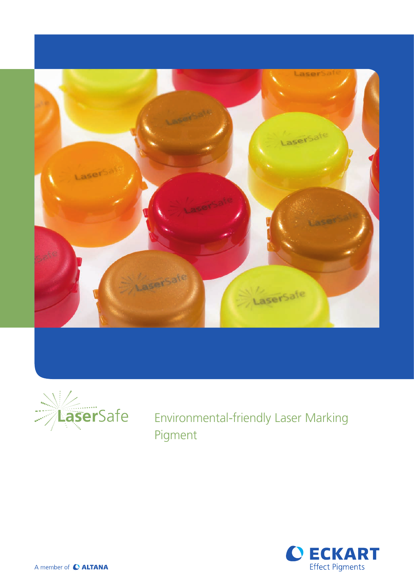



Environmental-friendly Laser Marking Pigment



A member of C ALTANA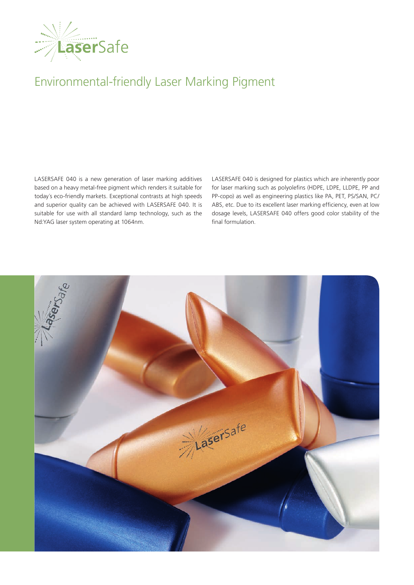

## Environmental-friendly Laser Marking Pigment

LASERSAFE 040 is a new generation of laser marking additives based on a heavy metal-free pigment which renders it suitable for today´s eco-friendly markets. Exceptional contrasts at high speeds and superior quality can be achieved with LASERSAFE 040. It is suitable for use with all standard lamp technology, such as the Nd:YAG laser system operating at 1064nm.

LASERSAFE 040 is designed for plastics which are inherently poor for laser marking such as polyolefins (HDPE, LDPE, LLDPE, PP and PP-copo) as well as engineering plastics like PA, PET, PS/SAN, PC/ ABS, etc. Due to its excellent laser marking efficiency, even at low dosage levels, LASERSAFE 040 offers good color stability of the final formulation.

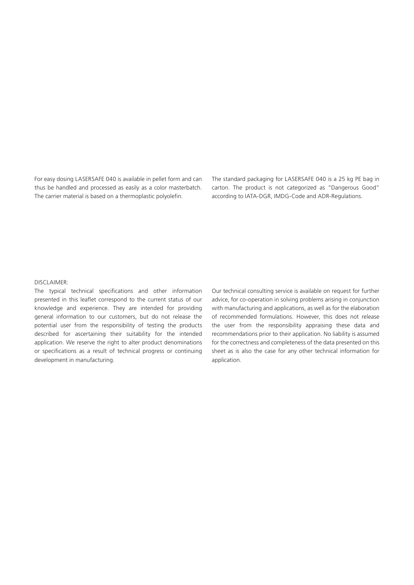For easy dosing LASERSAFE 040 is available in pellet form and can thus be handled and processed as easily as a color masterbatch. The carrier material is based on a thermoplastic polyolefin.

The standard packaging for LASERSAFE 040 is a 25 kg PE bag in carton. The product is not categorized as "Dangerous Good" according to IATA-DGR, IMDG-Code and ADR-Regulations.

## DISCLAIMER:

The typical technical specifications and other information presented in this leaflet correspond to the current status of our knowledge and experience. They are intended for providing general information to our customers, but do not release the potential user from the responsibility of testing the products described for ascertaining their suitability for the intended application. We reserve the right to alter product denominations or specifications as a result of technical progress or continuing development in manufacturing.

Our technical consulting service is available on request for further advice, for co-operation in solving problems arising in conjunction with manufacturing and applications, as well as for the elaboration of recommended formulations. However, this does not release the user from the responsibility appraising these data and recommendations prior to their application. No liability is assumed for the correctness and completeness of the data presented on this sheet as is also the case for any other technical information for application.